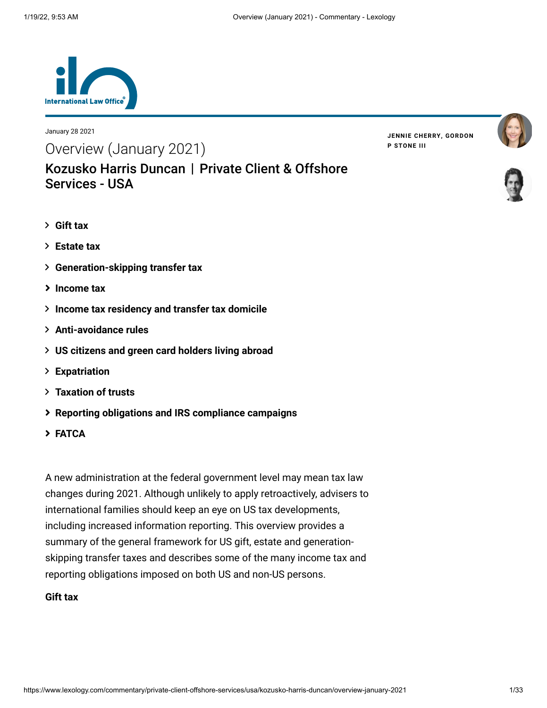

Services - USA

January 28 2021

Overview (January 2021)

**JENNIE [CHERRY](https://www.lexology.com/23364/author/Jennie_Cherry/)[,](https://www.lexology.com/23364/author/Gordon_P_Stone_III/) GORDON P STONE III**





- **[Gift tax](#page-0-0)**
- **[Estate tax](#page-3-0)**
- **[Generation-skipping transfer tax](#page-8-0)**
- **[Income tax](#page-9-0)**
- **[Income tax residency and transfer tax domicile](#page-9-0)**

[Kozusko Harris Duncan](https://www.lexology.com/contributors/23364) | Private Client & Offshore

- **[Anti-avoidance rules](#page-15-0)**
- **[US citizens and green card holders living abroad](#page-17-0)**
- **[Expatriation](#page-17-1)**
- **[Taxation of trusts](#page-21-0)**
- **[Reporting obligations and IRS compliance campaigns](#page-27-0)**
- **[FATCA](#page-30-0)**

A new administration at the federal government level may mean tax law changes during 2021. Although unlikely to apply retroactively, advisers to international families should keep an eye on US tax developments, including increased information reporting. This overview provides a summary of the general framework for US gift, estate and generationskipping transfer taxes and describes some of the many income tax and reporting obligations imposed on both US and non-US persons.

# <span id="page-0-0"></span>**Gift tax**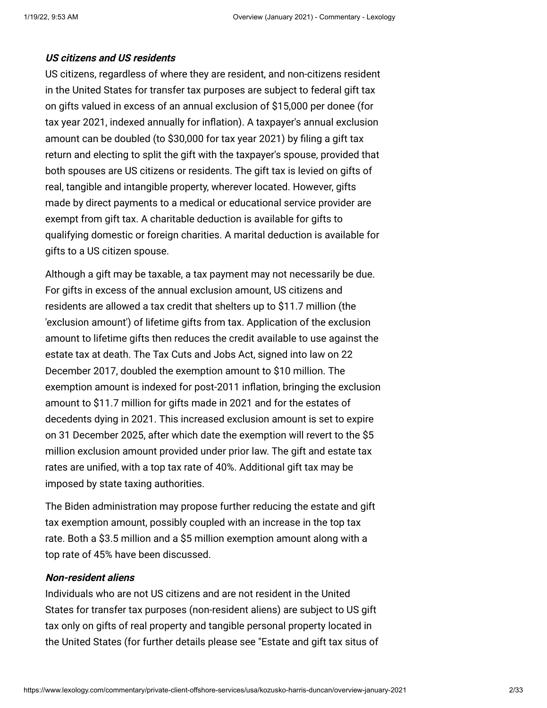#### **US citizens and US residents**

US citizens, regardless of where they are resident, and non-citizens resident in the United States for transfer tax purposes are subject to federal gift tax on gifts valued in excess of an annual exclusion of \$15,000 per donee (for tax year 2021, indexed annually for inflation). A taxpayer's annual exclusion amount can be doubled (to \$30,000 for tax year 2021) by filing a gift tax return and electing to split the gift with the taxpayer's spouse, provided that both spouses are US citizens or residents. The gift tax is levied on gifts of real, tangible and intangible property, wherever located. However, gifts made by direct payments to a medical or educational service provider are exempt from gift tax. A charitable deduction is available for gifts to qualifying domestic or foreign charities. A marital deduction is available for gifts to a US citizen spouse.

Although a gift may be taxable, a tax payment may not necessarily be due. For gifts in excess of the annual exclusion amount, US citizens and residents are allowed a tax credit that shelters up to \$11.7 million (the 'exclusion amount') of lifetime gifts from tax. Application of the exclusion amount to lifetime gifts then reduces the credit available to use against the estate tax at death. The Tax Cuts and Jobs Act, signed into law on 22 December 2017, doubled the exemption amount to \$10 million. The exemption amount is indexed for post-2011 inflation, bringing the exclusion amount to \$11.7 million for gifts made in 2021 and for the estates of decedents dying in 2021. This increased exclusion amount is set to expire on 31 December 2025, after which date the exemption will revert to the \$5 million exclusion amount provided under prior law. The gift and estate tax rates are unified, with a top tax rate of 40%. Additional gift tax may be imposed by state taxing authorities.

The Biden administration may propose further reducing the estate and gift tax exemption amount, possibly coupled with an increase in the top tax rate. Both a \$3.5 million and a \$5 million exemption amount along with a top rate of 45% have been discussed.

### **Non-resident aliens**

Individuals who are not US citizens and are not resident in the United States for transfer tax purposes (non-resident aliens) are subject to US gift tax only on gifts of real property and tangible personal property located in [the United States \(for further details please see "Estate and gift tax situs of](https://www.internationallawoffice.com/Newsletters/Private-Client-Offshore-Services/USA/Kozusko-Harris-Duncan/Estate-and-gift-tax-situs-of-assets-basic-rules)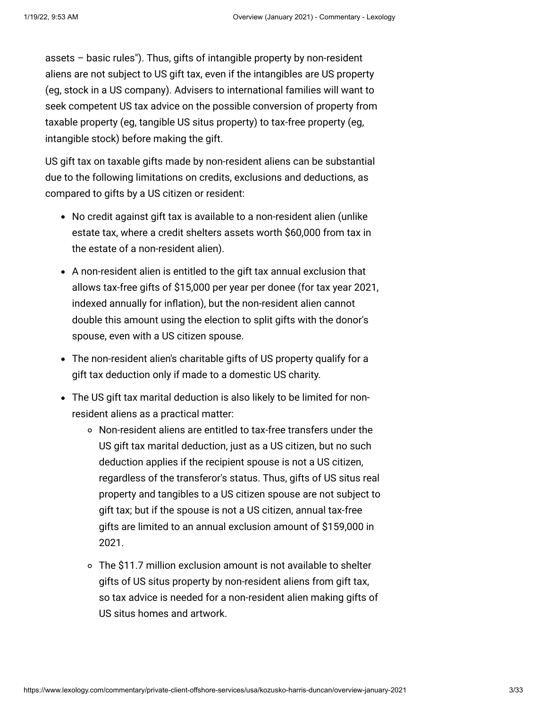[assets – basic rules"\). Thus, gifts of intangible property by non-resident](https://www.internationallawoffice.com/Newsletters/Private-Client-Offshore-Services/USA/Kozusko-Harris-Duncan/Estate-and-gift-tax-situs-of-assets-basic-rules) aliens are not subject to US gift tax, even if the intangibles are US property (eg, stock in a US company). Advisers to international families will want to seek competent US tax advice on the possible conversion of property from taxable property (eg, tangible US situs property) to tax-free property (eg, intangible stock) before making the gift.

US gift tax on taxable gifts made by non-resident aliens can be substantial due to the following limitations on credits, exclusions and deductions, as compared to gifts by a US citizen or resident:

- No credit against gift tax is available to a non-resident alien (unlike estate tax, where a credit shelters assets worth \$60,000 from tax in the estate of a non-resident alien).
- A non-resident alien is entitled to the gift tax annual exclusion that allows tax-free gifts of \$15,000 per year per donee (for tax year 2021, indexed annually for inflation), but the non-resident alien cannot double this amount using the election to split gifts with the donor's spouse, even with a US citizen spouse.
- The non-resident alien's charitable gifts of US property qualify for a gift tax deduction only if made to a domestic US charity.
- The US gift tax marital deduction is also likely to be limited for nonresident aliens as a practical matter:
	- Non-resident aliens are entitled to tax-free transfers under the US gift tax marital deduction, just as a US citizen, but no such deduction applies if the recipient spouse is not a US citizen, regardless of the transferor's status. Thus, gifts of US situs real property and tangibles to a US citizen spouse are not subject to gift tax; but if the spouse is not a US citizen, annual tax-free gifts are limited to an annual exclusion amount of \$159,000 in 2021.
	- The \$11.7 million exclusion amount is not available to shelter gifts of US situs property by non-resident aliens from gift tax, so tax advice is needed for a non-resident alien making gifts of US situs homes and artwork.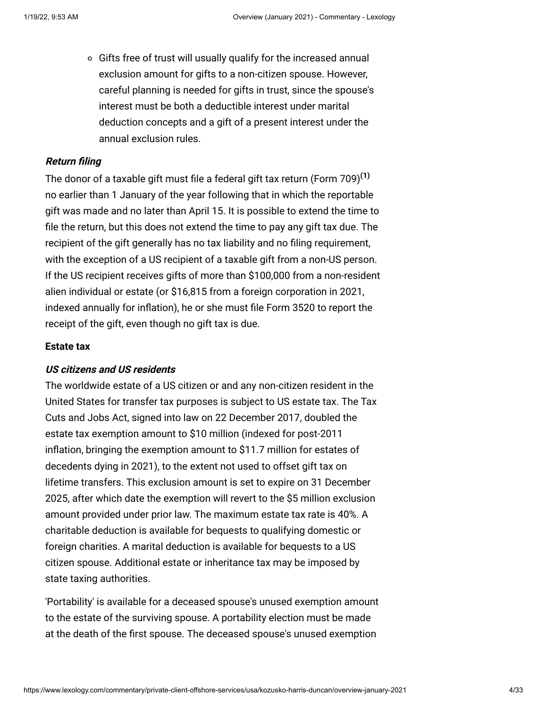o Gifts free of trust will usually qualify for the increased annual exclusion amount for gifts to a non-citizen spouse. However, careful planning is needed for gifts in trust, since the spouse's interest must be both a deductible interest under marital deduction concepts and a gift of a present interest under the annual exclusion rules.

### **Return filing**

The donor of a taxable gift must file a federal gift tax return (Form 709)**[\(1\)](#page-32-0)** no earlier than 1 January of the year following that in which the reportable gift was made and no later than April 15. It is possible to extend the time to file the return, but this does not extend the time to pay any gift tax due. The recipient of the gift generally has no tax liability and no filing requirement, with the exception of a US recipient of a taxable gift from a non-US person. If the US recipient receives gifts of more than \$100,000 from a non-resident alien individual or estate (or \$16,815 from a foreign corporation in 2021, indexed annually for inflation), he or she must file Form 3520 to report the receipt of the gift, even though no gift tax is due.

#### <span id="page-3-0"></span>**Estate tax**

### **US citizens and US residents**

The worldwide estate of a US citizen or and any non-citizen resident in the United States for transfer tax purposes is subject to US estate tax. The Tax Cuts and Jobs Act, signed into law on 22 December 2017, doubled the estate tax exemption amount to \$10 million (indexed for post-2011 inflation, bringing the exemption amount to \$11.7 million for estates of decedents dying in 2021), to the extent not used to offset gift tax on lifetime transfers. This exclusion amount is set to expire on 31 December 2025, after which date the exemption will revert to the \$5 million exclusion amount provided under prior law. The maximum estate tax rate is 40%. A charitable deduction is available for bequests to qualifying domestic or foreign charities. A marital deduction is available for bequests to a US citizen spouse. Additional estate or inheritance tax may be imposed by state taxing authorities.

'Portability' is available for a deceased spouse's unused exemption amount to the estate of the surviving spouse. A portability election must be made at the death of the first spouse. The deceased spouse's unused exemption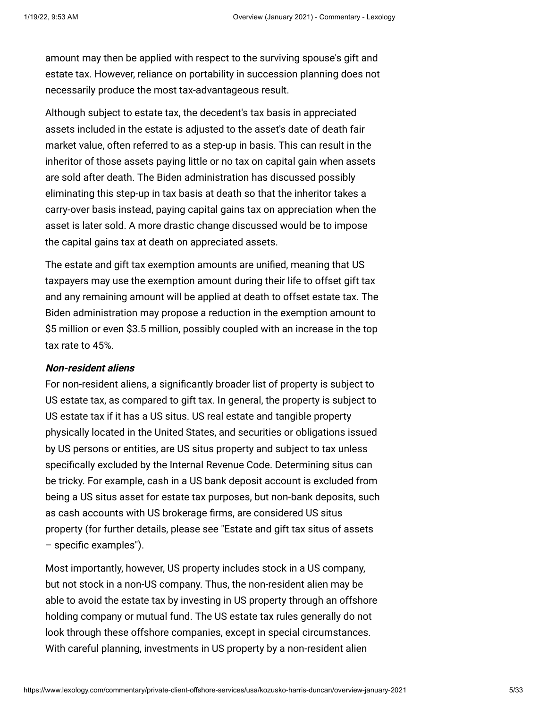amount may then be applied with respect to the surviving spouse's gift and estate tax. However, reliance on portability in succession planning does not necessarily produce the most tax-advantageous result.

Although subject to estate tax, the decedent's tax basis in appreciated assets included in the estate is adjusted to the asset's date of death fair market value, often referred to as a step-up in basis. This can result in the inheritor of those assets paying little or no tax on capital gain when assets are sold after death. The Biden administration has discussed possibly eliminating this step-up in tax basis at death so that the inheritor takes a carry-over basis instead, paying capital gains tax on appreciation when the asset is later sold. A more drastic change discussed would be to impose the capital gains tax at death on appreciated assets.

The estate and gift tax exemption amounts are unified, meaning that US taxpayers may use the exemption amount during their life to offset gift tax and any remaining amount will be applied at death to offset estate tax. The Biden administration may propose a reduction in the exemption amount to \$5 million or even \$3.5 million, possibly coupled with an increase in the top tax rate to 45%.

### **Non-resident aliens**

For non-resident aliens, a significantly broader list of property is subject to US estate tax, as compared to gift tax. In general, the property is subject to US estate tax if it has a US situs. US real estate and tangible property physically located in the United States, and securities or obligations issued by US persons or entities, are US situs property and subject to tax unless specifically excluded by the Internal Revenue Code. Determining situs can be tricky. For example, cash in a US bank deposit account is excluded from being a US situs asset for estate tax purposes, but non-bank deposits, such as cash accounts with US brokerage firms, are considered US situs [property \(for further details, please see "Estate and gift tax situs of assets](https://www.internationallawoffice.com/Newsletters/Private-Client-Offshore-Services/USA/Kozusko-Harris-Duncan/Estate-and-gift-tax-situs-of-assets-specific-examples) – specific examples").

Most importantly, however, US property includes stock in a US company, but not stock in a non-US company. Thus, the non-resident alien may be able to avoid the estate tax by investing in US property through an offshore holding company or mutual fund. The US estate tax rules generally do not look through these offshore companies, except in special circumstances. With careful planning, investments in US property by a non-resident alien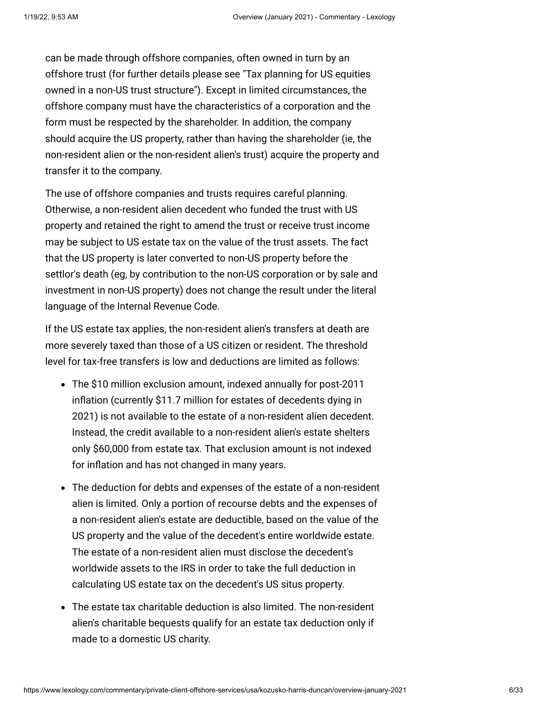can be made through offshore companies, often owned in turn by an [offshore trust \(for further details please see "Tax planning for US equities](https://www.internationallawoffice.com/Newsletters/Private-Client-Offshore-Services/USA/Kozusko-Harris-Duncan/Tax-planning-for-US-equities-owned-in-a-non-US-trust-structure) owned in a non-US trust structure"). Except in limited circumstances, the offshore company must have the characteristics of a corporation and the form must be respected by the shareholder. In addition, the company should acquire the US property, rather than having the shareholder (ie, the non-resident alien or the non-resident alien's trust) acquire the property and transfer it to the company.

The use of offshore companies and trusts requires careful planning. Otherwise, a non-resident alien decedent who funded the trust with US property and retained the right to amend the trust or receive trust income may be subject to US estate tax on the value of the trust assets. The fact that the US property is later converted to non-US property before the settlor's death (eg, by contribution to the non-US corporation or by sale and investment in non-US property) does not change the result under the literal language of the Internal Revenue Code.

If the US estate tax applies, the non-resident alien's transfers at death are more severely taxed than those of a US citizen or resident. The threshold level for tax-free transfers is low and deductions are limited as follows:

- The \$10 million exclusion amount, indexed annually for post-2011 inflation (currently \$11.7 million for estates of decedents dying in 2021) is not available to the estate of a non-resident alien decedent. Instead, the credit available to a non-resident alien's estate shelters only \$60,000 from estate tax. That exclusion amount is not indexed for inflation and has not changed in many years.
- The deduction for debts and expenses of the estate of a non-resident alien is limited. Only a portion of recourse debts and the expenses of a non-resident alien's estate are deductible, based on the value of the US property and the value of the decedent's entire worldwide estate. The estate of a non-resident alien must disclose the decedent's worldwide assets to the IRS in order to take the full deduction in calculating US estate tax on the decedent's US situs property.
- The estate tax charitable deduction is also limited. The non-resident alien's charitable bequests qualify for an estate tax deduction only if made to a domestic US charity.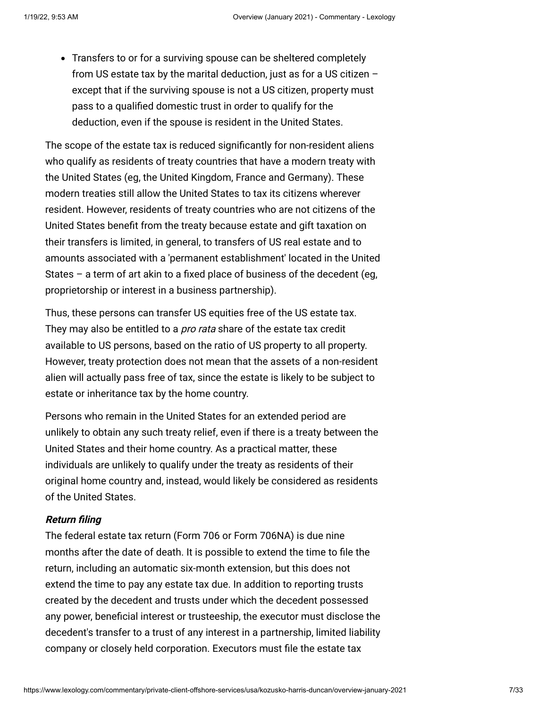Transfers to or for a surviving spouse can be sheltered completely from US estate tax by the marital deduction, just as for a US citizen – except that if the surviving spouse is not a US citizen, property must pass to a qualified domestic trust in order to qualify for the deduction, even if the spouse is resident in the United States.

The scope of the estate tax is reduced significantly for non-resident aliens who qualify as residents of treaty countries that have a modern treaty with the United States (eg, the United Kingdom, France and Germany). These modern treaties still allow the United States to tax its citizens wherever resident. However, residents of treaty countries who are not citizens of the United States benefit from the treaty because estate and gift taxation on their transfers is limited, in general, to transfers of US real estate and to amounts associated with a 'permanent establishment' located in the United States – a term of art akin to a fixed place of business of the decedent (eg, proprietorship or interest in a business partnership).

Thus, these persons can transfer US equities free of the US estate tax. They may also be entitled to a *pro rata* share of the estate tax credit available to US persons, based on the ratio of US property to all property. However, treaty protection does not mean that the assets of a non-resident alien will actually pass free of tax, since the estate is likely to be subject to estate or inheritance tax by the home country.

Persons who remain in the United States for an extended period are unlikely to obtain any such treaty relief, even if there is a treaty between the United States and their home country. As a practical matter, these individuals are unlikely to qualify under the treaty as residents of their original home country and, instead, would likely be considered as residents of the United States.

# **Return filing**

The federal estate tax return (Form 706 or Form 706NA) is due nine months after the date of death. It is possible to extend the time to file the return, including an automatic six-month extension, but this does not extend the time to pay any estate tax due. In addition to reporting trusts created by the decedent and trusts under which the decedent possessed any power, beneficial interest or trusteeship, the executor must disclose the decedent's transfer to a trust of any interest in a partnership, limited liability company or closely held corporation. Executors must file the estate tax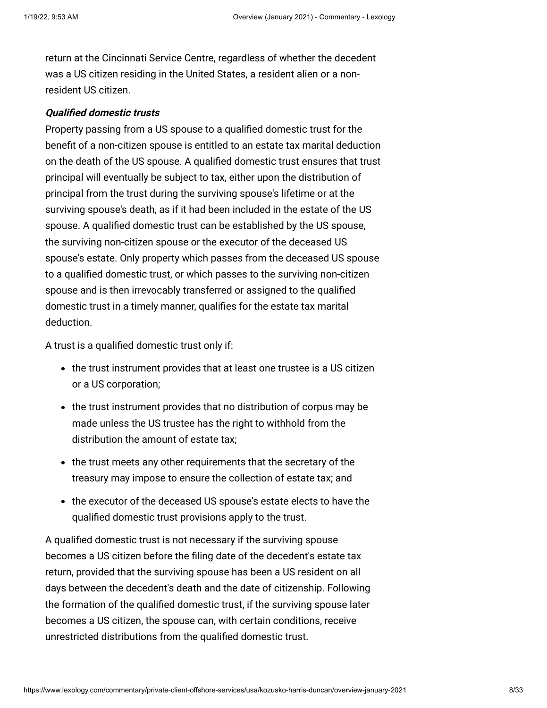return at the Cincinnati Service Centre, regardless of whether the decedent was a US citizen residing in the United States, a resident alien or a nonresident US citizen.

### **Qualified domestic trusts**

Property passing from a US spouse to a qualified domestic trust for the benefit of a non-citizen spouse is entitled to an estate tax marital deduction on the death of the US spouse. A qualified domestic trust ensures that trust principal will eventually be subject to tax, either upon the distribution of principal from the trust during the surviving spouse's lifetime or at the surviving spouse's death, as if it had been included in the estate of the US spouse. A qualified domestic trust can be established by the US spouse, the surviving non-citizen spouse or the executor of the deceased US spouse's estate. Only property which passes from the deceased US spouse to a qualified domestic trust, or which passes to the surviving non-citizen spouse and is then irrevocably transferred or assigned to the qualified domestic trust in a timely manner, qualifies for the estate tax marital deduction.

A trust is a qualified domestic trust only if:

- the trust instrument provides that at least one trustee is a US citizen or a US corporation;
- the trust instrument provides that no distribution of corpus may be made unless the US trustee has the right to withhold from the distribution the amount of estate tax;
- the trust meets any other requirements that the secretary of the treasury may impose to ensure the collection of estate tax; and
- the executor of the deceased US spouse's estate elects to have the qualified domestic trust provisions apply to the trust.

A qualified domestic trust is not necessary if the surviving spouse becomes a US citizen before the filing date of the decedent's estate tax return, provided that the surviving spouse has been a US resident on all days between the decedent's death and the date of citizenship. Following the formation of the qualified domestic trust, if the surviving spouse later becomes a US citizen, the spouse can, with certain conditions, receive unrestricted distributions from the qualified domestic trust.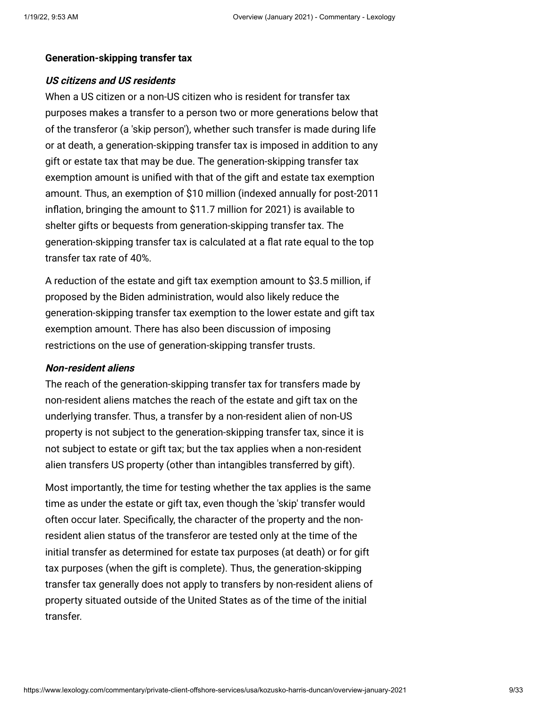#### <span id="page-8-0"></span>**Generation-skipping transfer tax**

### **US citizens and US residents**

When a US citizen or a non-US citizen who is resident for transfer tax purposes makes a transfer to a person two or more generations below that of the transferor (a 'skip person'), whether such transfer is made during life or at death, a generation-skipping transfer tax is imposed in addition to any gift or estate tax that may be due. The generation-skipping transfer tax exemption amount is unified with that of the gift and estate tax exemption amount. Thus, an exemption of \$10 million (indexed annually for post-2011 inflation, bringing the amount to \$11.7 million for 2021) is available to shelter gifts or bequests from generation-skipping transfer tax. The generation-skipping transfer tax is calculated at a flat rate equal to the top transfer tax rate of 40%.

A reduction of the estate and gift tax exemption amount to \$3.5 million, if proposed by the Biden administration, would also likely reduce the generation-skipping transfer tax exemption to the lower estate and gift tax exemption amount. There has also been discussion of imposing restrictions on the use of generation-skipping transfer trusts.

### **Non-resident aliens**

The reach of the generation-skipping transfer tax for transfers made by non-resident aliens matches the reach of the estate and gift tax on the underlying transfer. Thus, a transfer by a non-resident alien of non-US property is not subject to the generation-skipping transfer tax, since it is not subject to estate or gift tax; but the tax applies when a non-resident alien transfers US property (other than intangibles transferred by gift).

Most importantly, the time for testing whether the tax applies is the same time as under the estate or gift tax, even though the 'skip' transfer would often occur later. Specifically, the character of the property and the nonresident alien status of the transferor are tested only at the time of the initial transfer as determined for estate tax purposes (at death) or for gift tax purposes (when the gift is complete). Thus, the generation-skipping transfer tax generally does not apply to transfers by non-resident aliens of property situated outside of the United States as of the time of the initial transfer.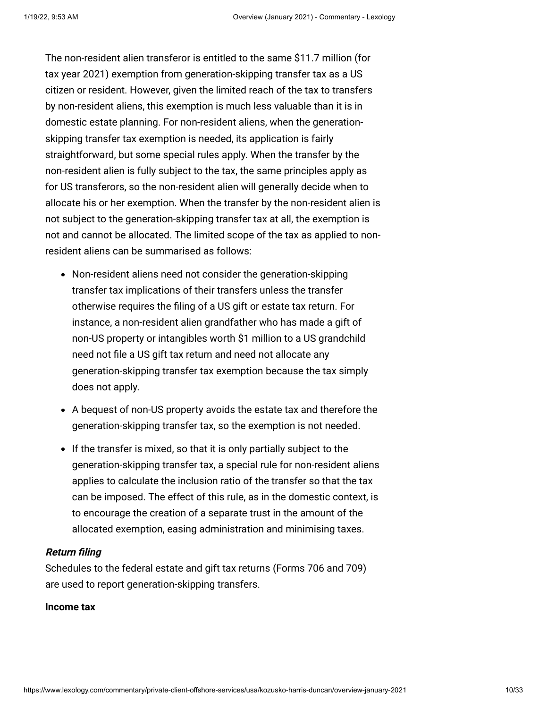The non-resident alien transferor is entitled to the same \$11.7 million (for tax year 2021) exemption from generation-skipping transfer tax as a US citizen or resident. However, given the limited reach of the tax to transfers by non-resident aliens, this exemption is much less valuable than it is in domestic estate planning. For non-resident aliens, when the generationskipping transfer tax exemption is needed, its application is fairly straightforward, but some special rules apply. When the transfer by the non-resident alien is fully subject to the tax, the same principles apply as for US transferors, so the non-resident alien will generally decide when to allocate his or her exemption. When the transfer by the non-resident alien is not subject to the generation-skipping transfer tax at all, the exemption is not and cannot be allocated. The limited scope of the tax as applied to nonresident aliens can be summarised as follows:

- Non-resident aliens need not consider the generation-skipping transfer tax implications of their transfers unless the transfer otherwise requires the filing of a US gift or estate tax return. For instance, a non-resident alien grandfather who has made a gift of non-US property or intangibles worth \$1 million to a US grandchild need not file a US gift tax return and need not allocate any generation-skipping transfer tax exemption because the tax simply does not apply.
- A bequest of non-US property avoids the estate tax and therefore the generation-skipping transfer tax, so the exemption is not needed.
- If the transfer is mixed, so that it is only partially subject to the generation-skipping transfer tax, a special rule for non-resident aliens applies to calculate the inclusion ratio of the transfer so that the tax can be imposed. The effect of this rule, as in the domestic context, is to encourage the creation of a separate trust in the amount of the allocated exemption, easing administration and minimising taxes.

#### **Return filing**

Schedules to the federal estate and gift tax returns (Forms 706 and 709) are used to report generation-skipping transfers.

#### <span id="page-9-0"></span>**Income tax**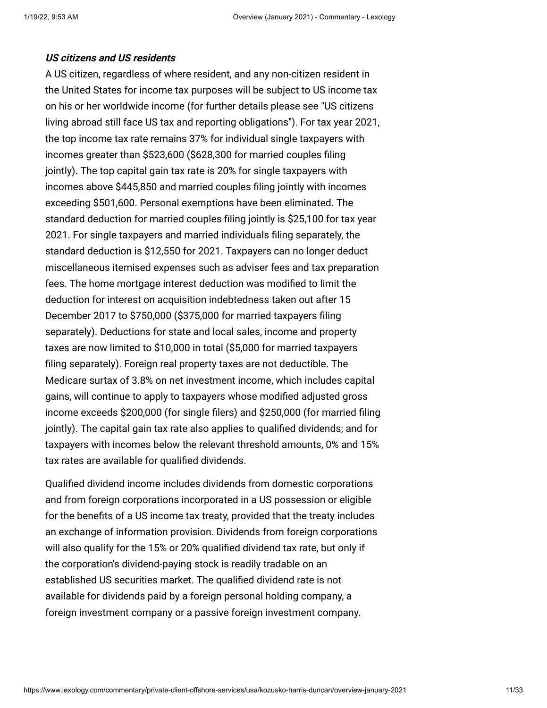#### **US citizens and US residents**

A US citizen, regardless of where resident, and any non-citizen resident in the United States for income tax purposes will be subject to US income tax [on his or her worldwide income \(for further details please see "US citizens](http://www.internationallawoffice.com/Newsletters/Offshore-Services/USA/Kozusko-Harris-Duncan/US-citizens-living-abroad-still-face-US-tax-and-reporting-obligations) living abroad still face US tax and reporting obligations"). For tax year 2021, the top income tax rate remains 37% for individual single taxpayers with incomes greater than \$523,600 (\$628,300 for married couples filing jointly). The top capital gain tax rate is 20% for single taxpayers with incomes above \$445,850 and married couples filing jointly with incomes exceeding \$501,600. Personal exemptions have been eliminated. The standard deduction for married couples filing jointly is \$25,100 for tax year 2021. For single taxpayers and married individuals filing separately, the standard deduction is \$12,550 for 2021. Taxpayers can no longer deduct miscellaneous itemised expenses such as adviser fees and tax preparation fees. The home mortgage interest deduction was modified to limit the deduction for interest on acquisition indebtedness taken out after 15 December 2017 to \$750,000 (\$375,000 for married taxpayers filing separately). Deductions for state and local sales, income and property taxes are now limited to \$10,000 in total (\$5,000 for married taxpayers filing separately). Foreign real property taxes are not deductible. The Medicare surtax of 3.8% on net investment income, which includes capital gains, will continue to apply to taxpayers whose modified adjusted gross income exceeds \$200,000 (for single filers) and \$250,000 (for married filing jointly). The capital gain tax rate also applies to qualified dividends; and for taxpayers with incomes below the relevant threshold amounts, 0% and 15% tax rates are available for qualified dividends.

Qualified dividend income includes dividends from domestic corporations and from foreign corporations incorporated in a US possession or eligible for the benefits of a US income tax treaty, provided that the treaty includes an exchange of information provision. Dividends from foreign corporations will also qualify for the 15% or 20% qualified dividend tax rate, but only if the corporation's dividend-paying stock is readily tradable on an established US securities market. The qualified dividend rate is not available for dividends paid by a foreign personal holding company, a foreign investment company or a passive foreign investment company.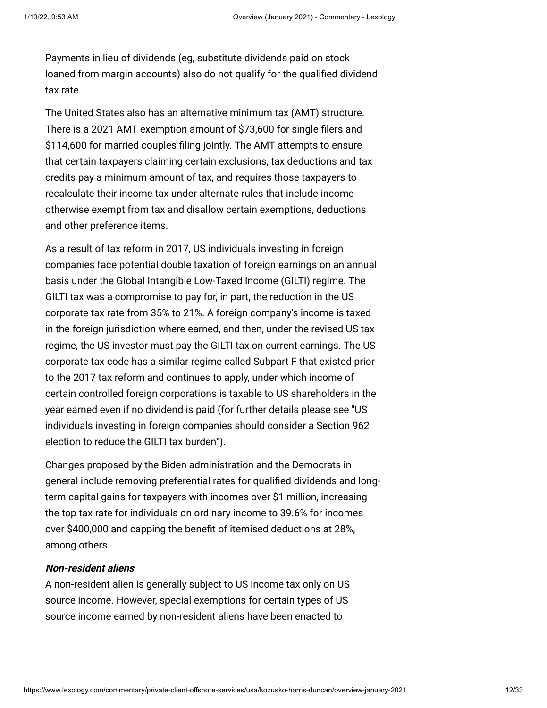Payments in lieu of dividends (eg, substitute dividends paid on stock loaned from margin accounts) also do not qualify for the qualified dividend tax rate.

The United States also has an alternative minimum tax (AMT) structure. There is a 2021 AMT exemption amount of \$73,600 for single filers and \$114,600 for married couples filing jointly. The AMT attempts to ensure that certain taxpayers claiming certain exclusions, tax deductions and tax credits pay a minimum amount of tax, and requires those taxpayers to recalculate their income tax under alternate rules that include income otherwise exempt from tax and disallow certain exemptions, deductions and other preference items.

As a result of tax reform in 2017, US individuals investing in foreign companies face potential double taxation of foreign earnings on an annual basis under the Global Intangible Low-Taxed Income (GILTI) regime. The GILTI tax was a compromise to pay for, in part, the reduction in the US corporate tax rate from 35% to 21%. A foreign company's income is taxed in the foreign jurisdiction where earned, and then, under the revised US tax regime, the US investor must pay the GILTI tax on current earnings. The US corporate tax code has a similar regime called Subpart F that existed prior to the 2017 tax reform and continues to apply, under which income of certain controlled foreign corporations is taxable to US shareholders in the year earned even if no dividend is paid (for further details please see "US [individuals investing in foreign companies should consider a Section 962](https://www.internationallawoffice.com/Newsletters/Private-Client-Offshore-Services/USA/Kozusko-Harris-Duncan/US-individuals-investing-in-foreign-companies-should-consider-a-Section-962-election-to-reduce-the-GILTI-tax-burden) election to reduce the GILTI tax burden").

Changes proposed by the Biden administration and the Democrats in general include removing preferential rates for qualified dividends and longterm capital gains for taxpayers with incomes over \$1 million, increasing the top tax rate for individuals on ordinary income to 39.6% for incomes over \$400,000 and capping the benefit of itemised deductions at 28%, among others.

### **Non-resident aliens**

A non-resident alien is generally subject to US income tax only on US source income. However, special exemptions for certain types of US source income earned by non-resident aliens have been enacted to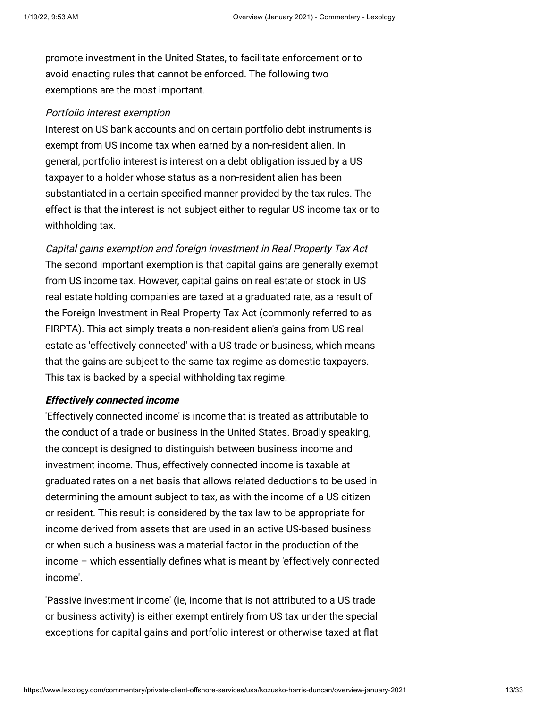promote investment in the United States, to facilitate enforcement or to avoid enacting rules that cannot be enforced. The following two exemptions are the most important.

#### Portfolio interest exemption

Interest on US bank accounts and on certain portfolio debt instruments is exempt from US income tax when earned by a non-resident alien. In general, portfolio interest is interest on a debt obligation issued by a US taxpayer to a holder whose status as a non-resident alien has been substantiated in a certain specified manner provided by the tax rules. The effect is that the interest is not subject either to regular US income tax or to withholding tax.

Capital gains exemption and foreign investment in Real Property Tax Act The second important exemption is that capital gains are generally exempt from US income tax. However, capital gains on real estate or stock in US real estate holding companies are taxed at a graduated rate, as a result of the Foreign Investment in Real Property Tax Act (commonly referred to as FIRPTA). This act simply treats a non-resident alien's gains from US real estate as 'effectively connected' with a US trade or business, which means that the gains are subject to the same tax regime as domestic taxpayers. This tax is backed by a special withholding tax regime.

#### **Effectively connected income**

'Effectively connected income' is income that is treated as attributable to the conduct of a trade or business in the United States. Broadly speaking, the concept is designed to distinguish between business income and investment income. Thus, effectively connected income is taxable at graduated rates on a net basis that allows related deductions to be used in determining the amount subject to tax, as with the income of a US citizen or resident. This result is considered by the tax law to be appropriate for income derived from assets that are used in an active US-based business or when such a business was a material factor in the production of the income – which essentially defines what is meant by 'effectively connected income'.

'Passive investment income' (ie, income that is not attributed to a US trade or business activity) is either exempt entirely from US tax under the special exceptions for capital gains and portfolio interest or otherwise taxed at flat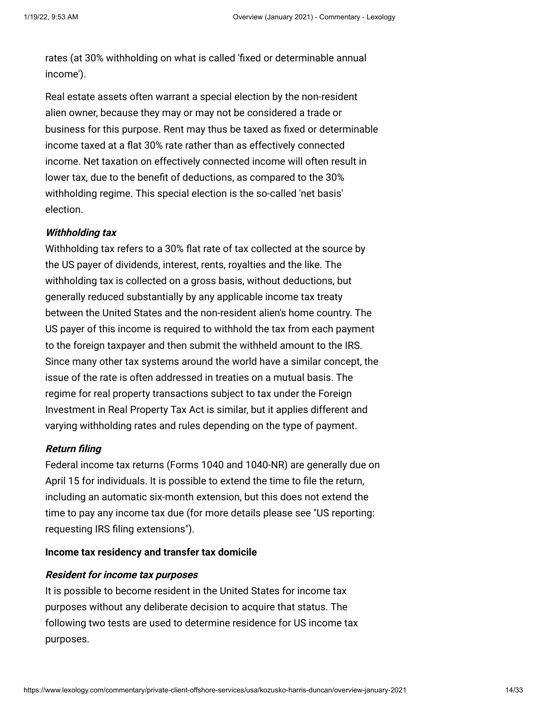rates (at 30% withholding on what is called 'fixed or determinable annual income').

Real estate assets often warrant a special election by the non-resident alien owner, because they may or may not be considered a trade or business for this purpose. Rent may thus be taxed as fixed or determinable income taxed at a flat 30% rate rather than as effectively connected income. Net taxation on effectively connected income will often result in lower tax, due to the benefit of deductions, as compared to the 30% withholding regime. This special election is the so-called 'net basis' election.

### **Withholding tax**

Withholding tax refers to a 30% flat rate of tax collected at the source by the US payer of dividends, interest, rents, royalties and the like. The withholding tax is collected on a gross basis, without deductions, but generally reduced substantially by any applicable income tax treaty between the United States and the non-resident alien's home country. The US payer of this income is required to withhold the tax from each payment to the foreign taxpayer and then submit the withheld amount to the IRS. Since many other tax systems around the world have a similar concept, the issue of the rate is often addressed in treaties on a mutual basis. The regime for real property transactions subject to tax under the Foreign Investment in Real Property Tax Act is similar, but it applies different and varying withholding rates and rules depending on the type of payment.

# **Return filing**

Federal income tax returns (Forms 1040 and 1040-NR) are generally due on April 15 for individuals. It is possible to extend the time to file the return, including an automatic six-month extension, but this does not extend the [time to pay any income tax due \(for more details please see "US reporting:](https://www.internationallawoffice.com/Newsletters/Private-Client-Offshore-Services/USA/Kozusko-Harris-Duncan/US-reporting-requesting-IRS-filing-extensions) requesting IRS filing extensions").

#### **Income tax residency and transfer tax domicile**

# **Resident for income tax purposes**

It is possible to become resident in the United States for income tax purposes without any deliberate decision to acquire that status. The following two tests are used to determine residence for US income tax purposes.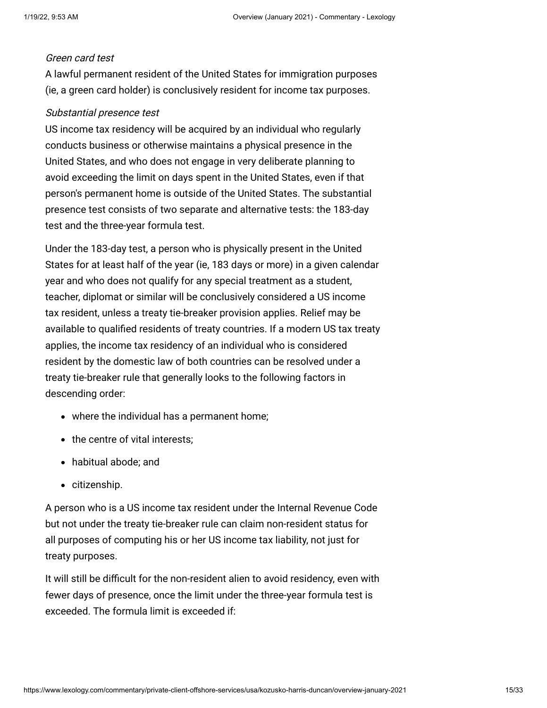#### Green card test

A lawful permanent resident of the United States for immigration purposes (ie, a green card holder) is conclusively resident for income tax purposes.

### Substantial presence test

US income tax residency will be acquired by an individual who regularly conducts business or otherwise maintains a physical presence in the United States, and who does not engage in very deliberate planning to avoid exceeding the limit on days spent in the United States, even if that person's permanent home is outside of the United States. The substantial presence test consists of two separate and alternative tests: the 183-day test and the three-year formula test.

Under the 183-day test, a person who is physically present in the United States for at least half of the year (ie, 183 days or more) in a given calendar year and who does not qualify for any special treatment as a student, teacher, diplomat or similar will be conclusively considered a US income tax resident, unless a treaty tie-breaker provision applies. Relief may be available to qualified residents of treaty countries. If a modern US tax treaty applies, the income tax residency of an individual who is considered resident by the domestic law of both countries can be resolved under a treaty tie-breaker rule that generally looks to the following factors in descending order:

- where the individual has a permanent home;
- the centre of vital interests:
- habitual abode; and
- citizenship.

A person who is a US income tax resident under the Internal Revenue Code but not under the treaty tie-breaker rule can claim non-resident status for all purposes of computing his or her US income tax liability, not just for treaty purposes.

It will still be difficult for the non-resident alien to avoid residency, even with fewer days of presence, once the limit under the three-year formula test is exceeded. The formula limit is exceeded if: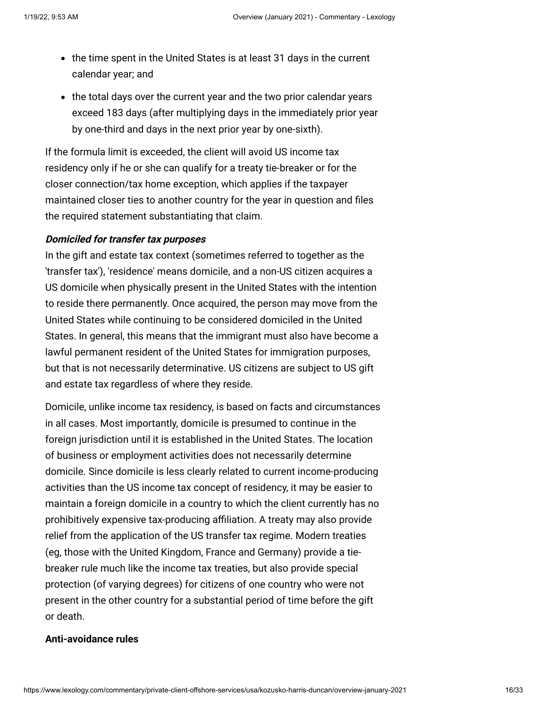- the time spent in the United States is at least 31 days in the current calendar year; and
- the total days over the current year and the two prior calendar years exceed 183 days (after multiplying days in the immediately prior year by one-third and days in the next prior year by one-sixth).

If the formula limit is exceeded, the client will avoid US income tax residency only if he or she can qualify for a treaty tie-breaker or for the closer connection/tax home exception, which applies if the taxpayer maintained closer ties to another country for the year in question and files the required statement substantiating that claim.

### **Domiciled for transfer tax purposes**

In the gift and estate tax context (sometimes referred to together as the 'transfer tax'), 'residence' means domicile, and a non-US citizen acquires a US domicile when physically present in the United States with the intention to reside there permanently. Once acquired, the person may move from the United States while continuing to be considered domiciled in the United States. In general, this means that the immigrant must also have become a lawful permanent resident of the United States for immigration purposes, but that is not necessarily determinative. US citizens are subject to US gift and estate tax regardless of where they reside.

Domicile, unlike income tax residency, is based on facts and circumstances in all cases. Most importantly, domicile is presumed to continue in the foreign jurisdiction until it is established in the United States. The location of business or employment activities does not necessarily determine domicile. Since domicile is less clearly related to current income-producing activities than the US income tax concept of residency, it may be easier to maintain a foreign domicile in a country to which the client currently has no prohibitively expensive tax-producing affiliation. A treaty may also provide relief from the application of the US transfer tax regime. Modern treaties (eg, those with the United Kingdom, France and Germany) provide a tiebreaker rule much like the income tax treaties, but also provide special protection (of varying degrees) for citizens of one country who were not present in the other country for a substantial period of time before the gift or death.

### <span id="page-15-0"></span>**Anti-avoidance rules**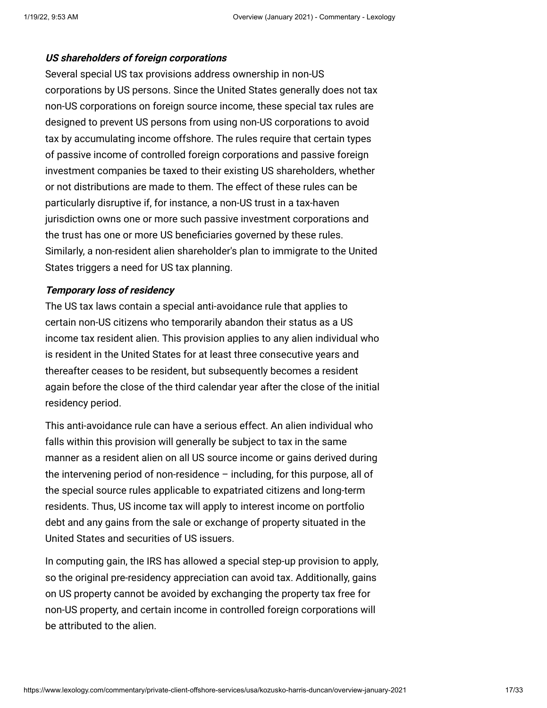#### **US shareholders of foreign corporations**

Several special US tax provisions address ownership in non-US corporations by US persons. Since the United States generally does not tax non-US corporations on foreign source income, these special tax rules are designed to prevent US persons from using non-US corporations to avoid tax by accumulating income offshore. The rules require that certain types of passive income of controlled foreign corporations and passive foreign investment companies be taxed to their existing US shareholders, whether or not distributions are made to them. The effect of these rules can be particularly disruptive if, for instance, a non-US trust in a tax-haven jurisdiction owns one or more such passive investment corporations and the trust has one or more US beneficiaries governed by these rules. Similarly, a non-resident alien shareholder's plan to immigrate to the United States triggers a need for US tax planning.

### **Temporary loss of residency**

The US tax laws contain a special anti-avoidance rule that applies to certain non-US citizens who temporarily abandon their status as a US income tax resident alien. This provision applies to any alien individual who is resident in the United States for at least three consecutive years and thereafter ceases to be resident, but subsequently becomes a resident again before the close of the third calendar year after the close of the initial residency period.

This anti-avoidance rule can have a serious effect. An alien individual who falls within this provision will generally be subject to tax in the same manner as a resident alien on all US source income or gains derived during the intervening period of non-residence – including, for this purpose, all of the special source rules applicable to expatriated citizens and long-term residents. Thus, US income tax will apply to interest income on portfolio debt and any gains from the sale or exchange of property situated in the United States and securities of US issuers.

In computing gain, the IRS has allowed a special step-up provision to apply, so the original pre-residency appreciation can avoid tax. Additionally, gains on US property cannot be avoided by exchanging the property tax free for non-US property, and certain income in controlled foreign corporations will be attributed to the alien.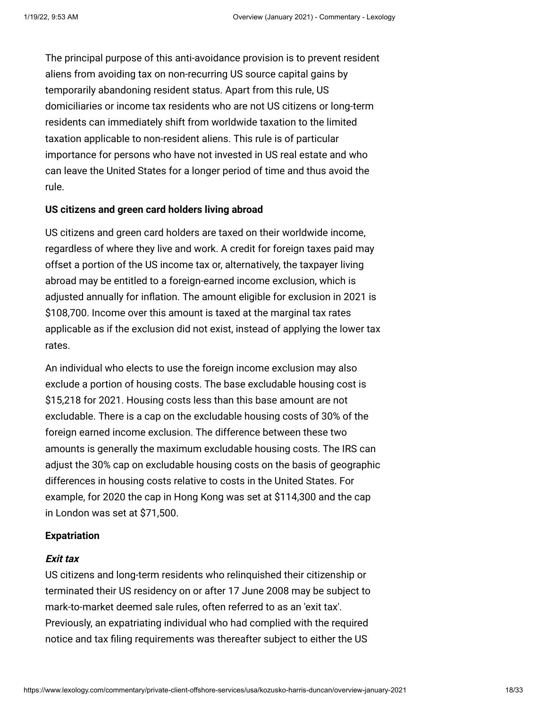The principal purpose of this anti-avoidance provision is to prevent resident aliens from avoiding tax on non-recurring US source capital gains by temporarily abandoning resident status. Apart from this rule, US domiciliaries or income tax residents who are not US citizens or long-term residents can immediately shift from worldwide taxation to the limited taxation applicable to non-resident aliens. This rule is of particular importance for persons who have not invested in US real estate and who can leave the United States for a longer period of time and thus avoid the rule.

### <span id="page-17-0"></span>**US citizens and green card holders living abroad**

US citizens and green card holders are taxed on their worldwide income, regardless of where they live and work. A credit for foreign taxes paid may offset a portion of the US income tax or, alternatively, the taxpayer living abroad may be entitled to a foreign-earned income exclusion, which is adjusted annually for inflation. The amount eligible for exclusion in 2021 is \$108,700. Income over this amount is taxed at the marginal tax rates applicable as if the exclusion did not exist, instead of applying the lower tax rates.

An individual who elects to use the foreign income exclusion may also exclude a portion of housing costs. The base excludable housing cost is \$15,218 for 2021. Housing costs less than this base amount are not excludable. There is a cap on the excludable housing costs of 30% of the foreign earned income exclusion. The difference between these two amounts is generally the maximum excludable housing costs. The IRS can adjust the 30% cap on excludable housing costs on the basis of geographic differences in housing costs relative to costs in the United States. For example, for 2020 the cap in Hong Kong was set at \$114,300 and the cap in London was set at \$71,500.

#### <span id="page-17-1"></span>**Expatriation**

#### **Exit tax**

US citizens and long-term residents who relinquished their citizenship or terminated their US residency on or after 17 June 2008 may be subject to mark-to-market deemed sale rules, often referred to as an 'exit tax'. Previously, an expatriating individual who had complied with the required notice and tax filing requirements was thereafter subject to either the US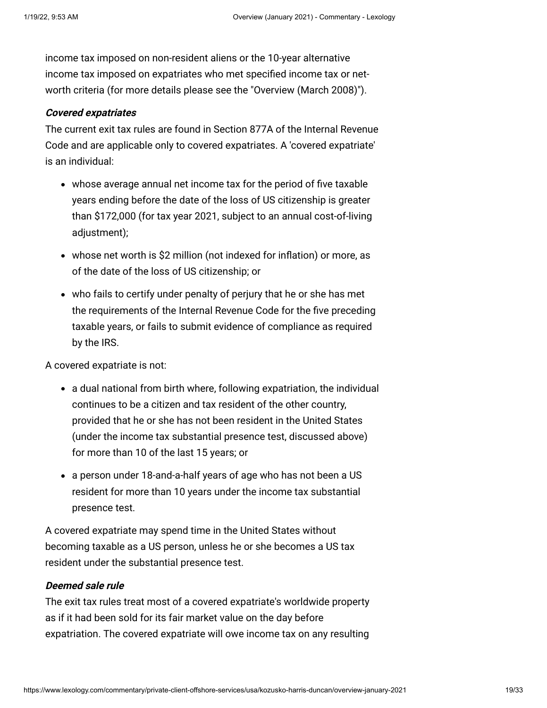income tax imposed on non-resident aliens or the 10-year alternative income tax imposed on expatriates who met specified income tax or networth criteria (for more details please see the "[Overview \(March 2008\)](http://www.internationallawoffice.com/Newsletters/Detail.aspx?g=559c31e6-a3f7-4cd8-9340-e15e6c077bb2)").

### **Covered expatriates**

The current exit tax rules are found in Section 877A of the Internal Revenue Code and are applicable only to covered expatriates. A 'covered expatriate' is an individual:

- whose average annual net income tax for the period of five taxable years ending before the date of the loss of US citizenship is greater than \$172,000 (for tax year 2021, subject to an annual cost-of-living adjustment);
- whose net worth is \$2 million (not indexed for inflation) or more, as of the date of the loss of US citizenship; or
- who fails to certify under penalty of perjury that he or she has met the requirements of the Internal Revenue Code for the five preceding taxable years, or fails to submit evidence of compliance as required by the IRS.

A covered expatriate is not:

- a dual national from birth where, following expatriation, the individual continues to be a citizen and tax resident of the other country, provided that he or she has not been resident in the United States (under the income tax substantial presence test, discussed above) for more than 10 of the last 15 years; or
- a person under 18-and-a-half years of age who has not been a US resident for more than 10 years under the income tax substantial presence test.

A covered expatriate may spend time in the United States without becoming taxable as a US person, unless he or she becomes a US tax resident under the substantial presence test.

# **Deemed sale rule**

The exit tax rules treat most of a covered expatriate's worldwide property as if it had been sold for its fair market value on the day before expatriation. The covered expatriate will owe income tax on any resulting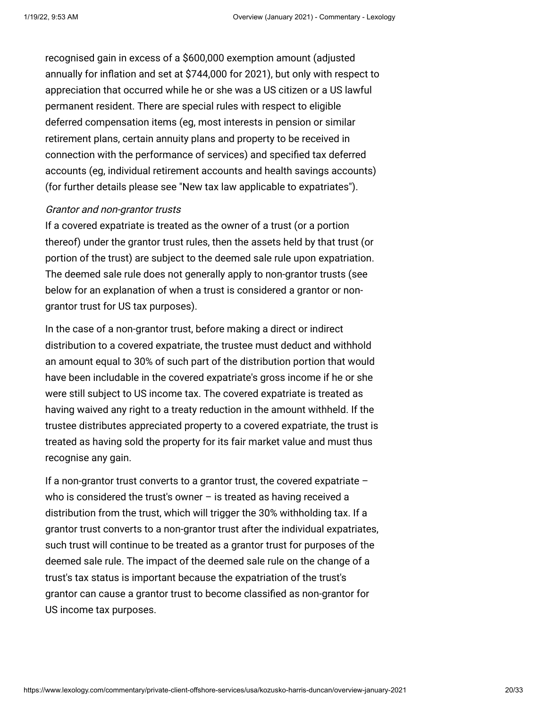recognised gain in excess of a \$600,000 exemption amount (adjusted annually for inflation and set at \$744,000 for 2021), but only with respect to appreciation that occurred while he or she was a US citizen or a US lawful permanent resident. There are special rules with respect to eligible deferred compensation items (eg, most interests in pension or similar retirement plans, certain annuity plans and property to be received in connection with the performance of services) and specified tax deferred accounts (eg, individual retirement accounts and health savings accounts) (for further details please see "[New tax law applicable to expatriates](http://www.internationallawoffice.com/Newsletters/detail.aspx?g=87c81007-0573-411e-adb1-3c46273c9ee4)").

#### Grantor and non-grantor trusts

If a covered expatriate is treated as the owner of a trust (or a portion thereof) under the grantor trust rules, then the assets held by that trust (or portion of the trust) are subject to the deemed sale rule upon expatriation. The deemed sale rule does not generally apply to non-grantor trusts (see below for an explanation of when a trust is considered a grantor or nongrantor trust for US tax purposes).

In the case of a non-grantor trust, before making a direct or indirect distribution to a covered expatriate, the trustee must deduct and withhold an amount equal to 30% of such part of the distribution portion that would have been includable in the covered expatriate's gross income if he or she were still subject to US income tax. The covered expatriate is treated as having waived any right to a treaty reduction in the amount withheld. If the trustee distributes appreciated property to a covered expatriate, the trust is treated as having sold the property for its fair market value and must thus recognise any gain.

If a non-grantor trust converts to a grantor trust, the covered expatriate – who is considered the trust's owner  $-$  is treated as having received a distribution from the trust, which will trigger the 30% withholding tax. If a grantor trust converts to a non-grantor trust after the individual expatriates, such trust will continue to be treated as a grantor trust for purposes of the deemed sale rule. The impact of the deemed sale rule on the change of a trust's tax status is important because the expatriation of the trust's grantor can cause a grantor trust to become classified as non-grantor for US income tax purposes.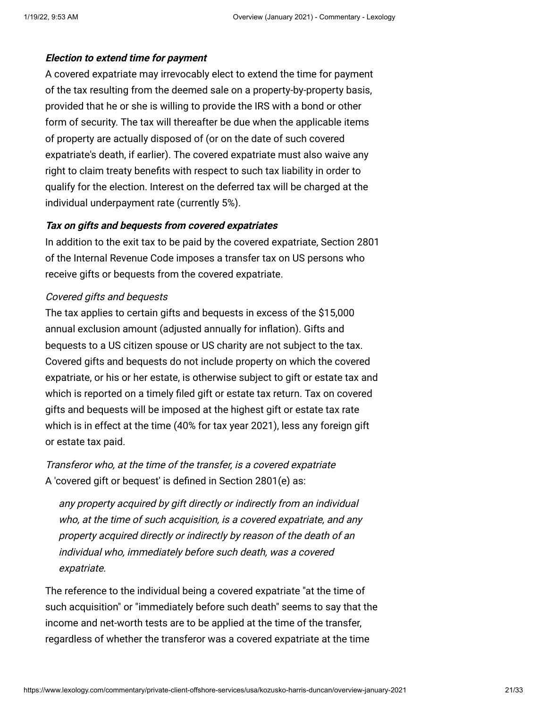# **Election to extend time for payment**

A covered expatriate may irrevocably elect to extend the time for payment of the tax resulting from the deemed sale on a property-by-property basis, provided that he or she is willing to provide the IRS with a bond or other form of security. The tax will thereafter be due when the applicable items of property are actually disposed of (or on the date of such covered expatriate's death, if earlier). The covered expatriate must also waive any right to claim treaty benefits with respect to such tax liability in order to qualify for the election. Interest on the deferred tax will be charged at the individual underpayment rate (currently 5%).

# **Tax on gifts and bequests from covered expatriates**

In addition to the exit tax to be paid by the covered expatriate, Section 2801 of the Internal Revenue Code imposes a transfer tax on US persons who receive gifts or bequests from the covered expatriate.

# Covered gifts and bequests

The tax applies to certain gifts and bequests in excess of the \$15,000 annual exclusion amount (adjusted annually for inflation). Gifts and bequests to a US citizen spouse or US charity are not subject to the tax. Covered gifts and bequests do not include property on which the covered expatriate, or his or her estate, is otherwise subject to gift or estate tax and which is reported on a timely filed gift or estate tax return. Tax on covered gifts and bequests will be imposed at the highest gift or estate tax rate which is in effect at the time (40% for tax year 2021), less any foreign gift or estate tax paid.

Transferor who, at the time of the transfer, is a covered expatriate A 'covered gift or bequest' is defined in Section 2801(e) as:

any property acquired by gift directly or indirectly from an individual who, at the time of such acquisition, is a covered expatriate, and any property acquired directly or indirectly by reason of the death of an individual who, immediately before such death, was a covered expatriate.

The reference to the individual being a covered expatriate "at the time of such acquisition" or "immediately before such death" seems to say that the income and net-worth tests are to be applied at the time of the transfer, regardless of whether the transferor was a covered expatriate at the time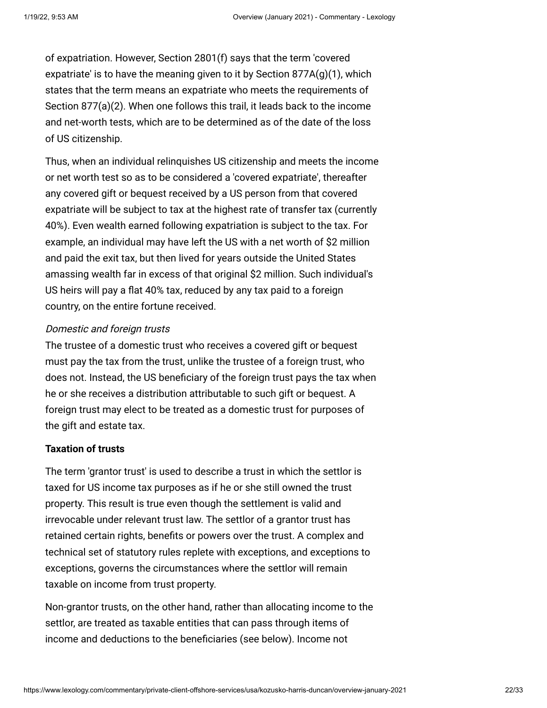of expatriation. However, Section 2801(f) says that the term 'covered expatriate' is to have the meaning given to it by Section  $877A(q)(1)$ , which states that the term means an expatriate who meets the requirements of Section 877(a)(2). When one follows this trail, it leads back to the income and net-worth tests, which are to be determined as of the date of the loss of US citizenship.

Thus, when an individual relinquishes US citizenship and meets the income or net worth test so as to be considered a 'covered expatriate', thereafter any covered gift or bequest received by a US person from that covered expatriate will be subject to tax at the highest rate of transfer tax (currently 40%). Even wealth earned following expatriation is subject to the tax. For example, an individual may have left the US with a net worth of \$2 million and paid the exit tax, but then lived for years outside the United States amassing wealth far in excess of that original \$2 million. Such individual's US heirs will pay a flat 40% tax, reduced by any tax paid to a foreign country, on the entire fortune received.

### Domestic and foreign trusts

The trustee of a domestic trust who receives a covered gift or bequest must pay the tax from the trust, unlike the trustee of a foreign trust, who does not. Instead, the US beneficiary of the foreign trust pays the tax when he or she receives a distribution attributable to such gift or bequest. A foreign trust may elect to be treated as a domestic trust for purposes of the gift and estate tax.

#### <span id="page-21-0"></span>**Taxation of trusts**

The term 'grantor trust' is used to describe a trust in which the settlor is taxed for US income tax purposes as if he or she still owned the trust property. This result is true even though the settlement is valid and irrevocable under relevant trust law. The settlor of a grantor trust has retained certain rights, benefits or powers over the trust. A complex and technical set of statutory rules replete with exceptions, and exceptions to exceptions, governs the circumstances where the settlor will remain taxable on income from trust property.

Non-grantor trusts, on the other hand, rather than allocating income to the settlor, are treated as taxable entities that can pass through items of income and deductions to the beneficiaries (see below). Income not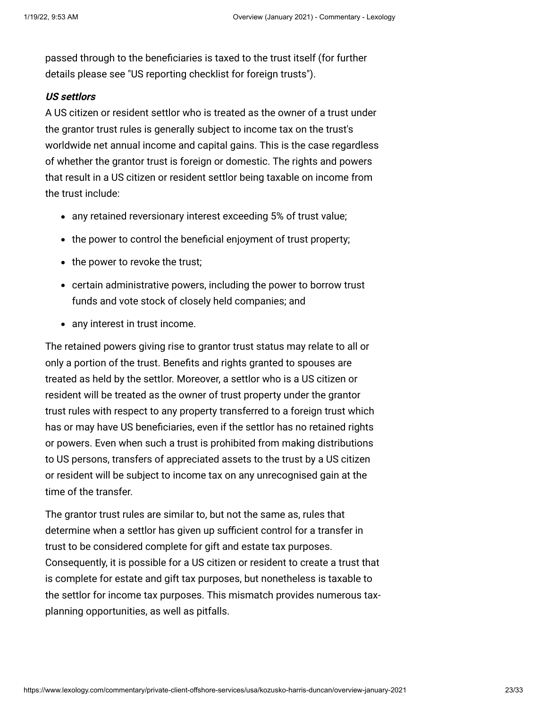passed through to the beneficiaries is taxed to the trust itself (for further details please see ["US reporting checklist for foreign trusts](https://www.internationallawoffice.com/Newsletters/Private-Client-Offshore-Services/USA/Kozusko-Harris-Duncan/US-reporting-checklist-for-foreign-trusts)").

### **US settlors**

A US citizen or resident settlor who is treated as the owner of a trust under the grantor trust rules is generally subject to income tax on the trust's worldwide net annual income and capital gains. This is the case regardless of whether the grantor trust is foreign or domestic. The rights and powers that result in a US citizen or resident settlor being taxable on income from the trust include:

- any retained reversionary interest exceeding 5% of trust value;
- the power to control the beneficial enjoyment of trust property;
- the power to revoke the trust;
- certain administrative powers, including the power to borrow trust funds and vote stock of closely held companies; and
- any interest in trust income.

The retained powers giving rise to grantor trust status may relate to all or only a portion of the trust. Benefits and rights granted to spouses are treated as held by the settlor. Moreover, a settlor who is a US citizen or resident will be treated as the owner of trust property under the grantor trust rules with respect to any property transferred to a foreign trust which has or may have US beneficiaries, even if the settlor has no retained rights or powers. Even when such a trust is prohibited from making distributions to US persons, transfers of appreciated assets to the trust by a US citizen or resident will be subject to income tax on any unrecognised gain at the time of the transfer.

The grantor trust rules are similar to, but not the same as, rules that determine when a settlor has given up sufficient control for a transfer in trust to be considered complete for gift and estate tax purposes. Consequently, it is possible for a US citizen or resident to create a trust that is complete for estate and gift tax purposes, but nonetheless is taxable to the settlor for income tax purposes. This mismatch provides numerous taxplanning opportunities, as well as pitfalls.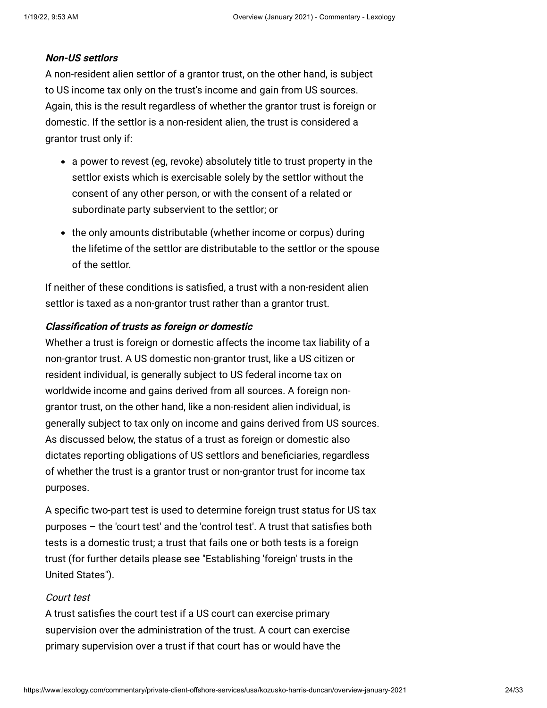### **Non-US settlors**

A non-resident alien settlor of a grantor trust, on the other hand, is subject to US income tax only on the trust's income and gain from US sources. Again, this is the result regardless of whether the grantor trust is foreign or domestic. If the settlor is a non-resident alien, the trust is considered a grantor trust only if:

- a power to revest (eg, revoke) absolutely title to trust property in the settlor exists which is exercisable solely by the settlor without the consent of any other person, or with the consent of a related or subordinate party subservient to the settlor; or
- the only amounts distributable (whether income or corpus) during the lifetime of the settlor are distributable to the settlor or the spouse of the settlor.

If neither of these conditions is satisfied, a trust with a non-resident alien settlor is taxed as a non-grantor trust rather than a grantor trust.

#### **Classification of trusts as foreign or domestic**

Whether a trust is foreign or domestic affects the income tax liability of a non-grantor trust. A US domestic non-grantor trust, like a US citizen or resident individual, is generally subject to US federal income tax on worldwide income and gains derived from all sources. A foreign nongrantor trust, on the other hand, like a non-resident alien individual, is generally subject to tax only on income and gains derived from US sources. As discussed below, the status of a trust as foreign or domestic also dictates reporting obligations of US settlors and beneficiaries, regardless of whether the trust is a grantor trust or non-grantor trust for income tax purposes.

A specific two-part test is used to determine foreign trust status for US tax purposes – the 'court test' and the 'control test'. A trust that satisfies both tests is a domestic trust; a trust that fails one or both tests is a foreign [trust \(for further details please see "Establishing 'foreign' trusts in the](https://www.internationallawoffice.com/Newsletters/Private-Client-Offshore-Services/USA/Kozusko-Harris-Duncan/Establishing-foreign-trusts-in-the-United-States) United States").

#### Court test

A trust satisfies the court test if a US court can exercise primary supervision over the administration of the trust. A court can exercise primary supervision over a trust if that court has or would have the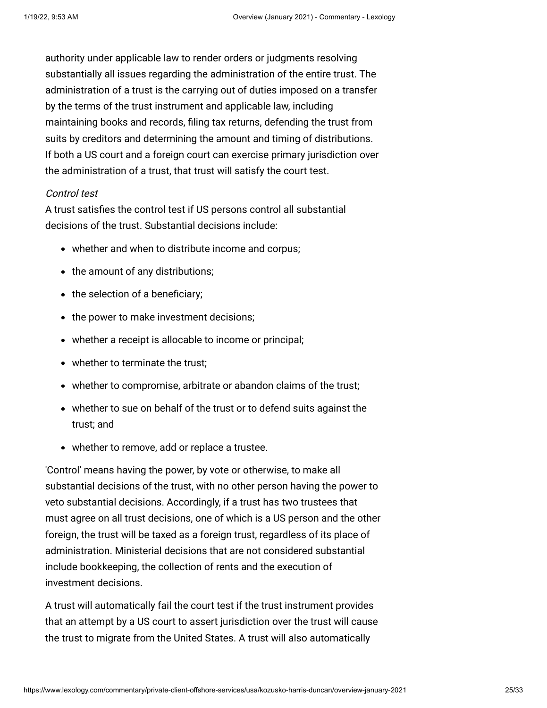authority under applicable law to render orders or judgments resolving substantially all issues regarding the administration of the entire trust. The administration of a trust is the carrying out of duties imposed on a transfer by the terms of the trust instrument and applicable law, including maintaining books and records, filing tax returns, defending the trust from suits by creditors and determining the amount and timing of distributions. If both a US court and a foreign court can exercise primary jurisdiction over the administration of a trust, that trust will satisfy the court test.

### Control test

A trust satisfies the control test if US persons control all substantial decisions of the trust. Substantial decisions include:

- whether and when to distribute income and corpus;
- the amount of any distributions;
- the selection of a beneficiary;
- the power to make investment decisions;
- whether a receipt is allocable to income or principal;
- whether to terminate the trust:
- whether to compromise, arbitrate or abandon claims of the trust;
- whether to sue on behalf of the trust or to defend suits against the trust; and
- whether to remove, add or replace a trustee.

'Control' means having the power, by vote or otherwise, to make all substantial decisions of the trust, with no other person having the power to veto substantial decisions. Accordingly, if a trust has two trustees that must agree on all trust decisions, one of which is a US person and the other foreign, the trust will be taxed as a foreign trust, regardless of its place of administration. Ministerial decisions that are not considered substantial include bookkeeping, the collection of rents and the execution of investment decisions.

A trust will automatically fail the court test if the trust instrument provides that an attempt by a US court to assert jurisdiction over the trust will cause the trust to migrate from the United States. A trust will also automatically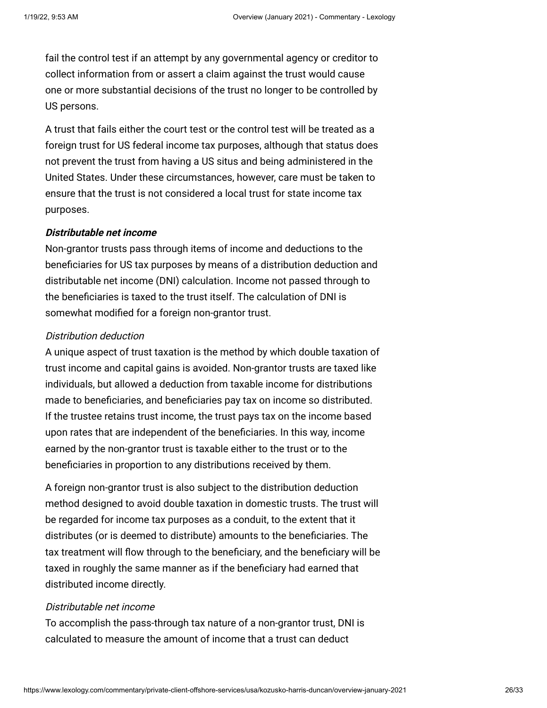fail the control test if an attempt by any governmental agency or creditor to collect information from or assert a claim against the trust would cause one or more substantial decisions of the trust no longer to be controlled by US persons.

A trust that fails either the court test or the control test will be treated as a foreign trust for US federal income tax purposes, although that status does not prevent the trust from having a US situs and being administered in the United States. Under these circumstances, however, care must be taken to ensure that the trust is not considered a local trust for state income tax purposes.

### **Distributable net income**

Non-grantor trusts pass through items of income and deductions to the beneficiaries for US tax purposes by means of a distribution deduction and distributable net income (DNI) calculation. Income not passed through to the beneficiaries is taxed to the trust itself. The calculation of DNI is somewhat modified for a foreign non-grantor trust.

# Distribution deduction

A unique aspect of trust taxation is the method by which double taxation of trust income and capital gains is avoided. Non-grantor trusts are taxed like individuals, but allowed a deduction from taxable income for distributions made to beneficiaries, and beneficiaries pay tax on income so distributed. If the trustee retains trust income, the trust pays tax on the income based upon rates that are independent of the beneficiaries. In this way, income earned by the non-grantor trust is taxable either to the trust or to the beneficiaries in proportion to any distributions received by them.

A foreign non-grantor trust is also subject to the distribution deduction method designed to avoid double taxation in domestic trusts. The trust will be regarded for income tax purposes as a conduit, to the extent that it distributes (or is deemed to distribute) amounts to the beneficiaries. The tax treatment will flow through to the beneficiary, and the beneficiary will be taxed in roughly the same manner as if the beneficiary had earned that distributed income directly.

# Distributable net income

To accomplish the pass-through tax nature of a non-grantor trust, DNI is calculated to measure the amount of income that a trust can deduct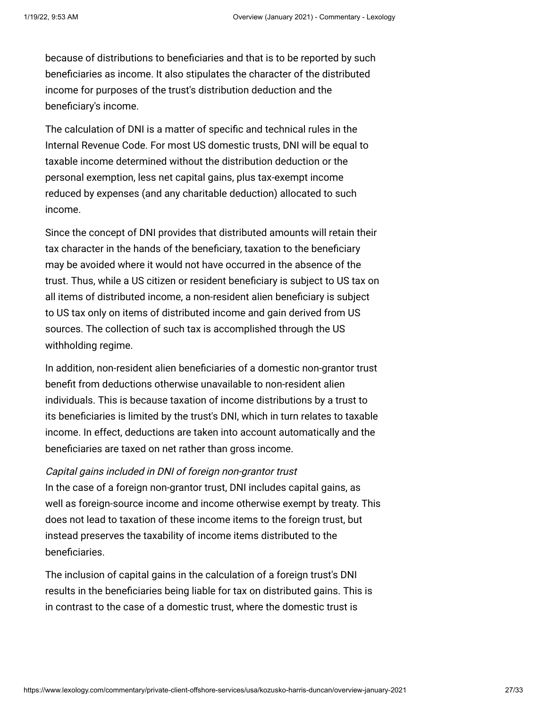because of distributions to beneficiaries and that is to be reported by such beneficiaries as income. It also stipulates the character of the distributed income for purposes of the trust's distribution deduction and the beneficiary's income.

The calculation of DNI is a matter of specific and technical rules in the Internal Revenue Code. For most US domestic trusts, DNI will be equal to taxable income determined without the distribution deduction or the personal exemption, less net capital gains, plus tax-exempt income reduced by expenses (and any charitable deduction) allocated to such income.

Since the concept of DNI provides that distributed amounts will retain their tax character in the hands of the beneficiary, taxation to the beneficiary may be avoided where it would not have occurred in the absence of the trust. Thus, while a US citizen or resident beneficiary is subject to US tax on all items of distributed income, a non-resident alien beneficiary is subject to US tax only on items of distributed income and gain derived from US sources. The collection of such tax is accomplished through the US withholding regime.

In addition, non-resident alien beneficiaries of a domestic non-grantor trust benefit from deductions otherwise unavailable to non-resident alien individuals. This is because taxation of income distributions by a trust to its beneficiaries is limited by the trust's DNI, which in turn relates to taxable income. In effect, deductions are taken into account automatically and the beneficiaries are taxed on net rather than gross income.

### Capital gains included in DNI of foreign non-grantor trust

In the case of a foreign non-grantor trust, DNI includes capital gains, as well as foreign-source income and income otherwise exempt by treaty. This does not lead to taxation of these income items to the foreign trust, but instead preserves the taxability of income items distributed to the beneficiaries.

The inclusion of capital gains in the calculation of a foreign trust's DNI results in the beneficiaries being liable for tax on distributed gains. This is in contrast to the case of a domestic trust, where the domestic trust is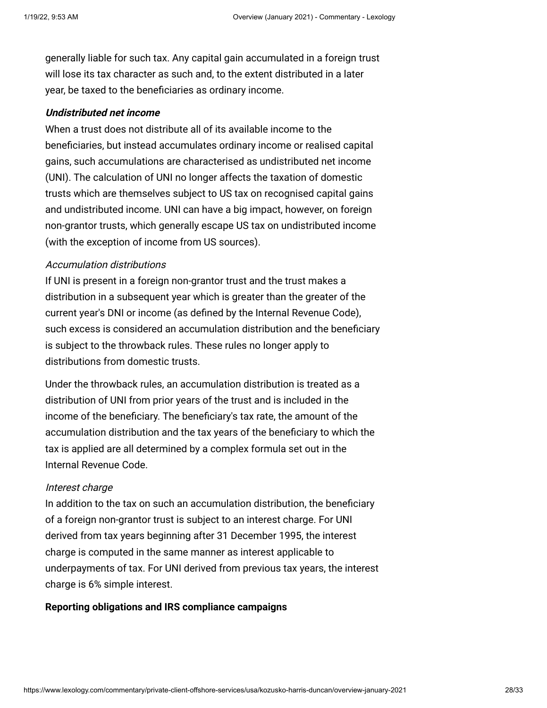generally liable for such tax. Any capital gain accumulated in a foreign trust will lose its tax character as such and, to the extent distributed in a later year, be taxed to the beneficiaries as ordinary income.

### **Undistributed net income**

When a trust does not distribute all of its available income to the beneficiaries, but instead accumulates ordinary income or realised capital gains, such accumulations are characterised as undistributed net income (UNI). The calculation of UNI no longer affects the taxation of domestic trusts which are themselves subject to US tax on recognised capital gains and undistributed income. UNI can have a big impact, however, on foreign non-grantor trusts, which generally escape US tax on undistributed income (with the exception of income from US sources).

# Accumulation distributions

If UNI is present in a foreign non-grantor trust and the trust makes a distribution in a subsequent year which is greater than the greater of the current year's DNI or income (as defined by the Internal Revenue Code), such excess is considered an accumulation distribution and the beneficiary is subject to the throwback rules. These rules no longer apply to distributions from domestic trusts.

Under the throwback rules, an accumulation distribution is treated as a distribution of UNI from prior years of the trust and is included in the income of the beneficiary. The beneficiary's tax rate, the amount of the accumulation distribution and the tax years of the beneficiary to which the tax is applied are all determined by a complex formula set out in the Internal Revenue Code.

#### Interest charge

In addition to the tax on such an accumulation distribution, the beneficiary of a foreign non-grantor trust is subject to an interest charge. For UNI derived from tax years beginning after 31 December 1995, the interest charge is computed in the same manner as interest applicable to underpayments of tax. For UNI derived from previous tax years, the interest charge is 6% simple interest.

### <span id="page-27-0"></span>**Reporting obligations and IRS compliance campaigns**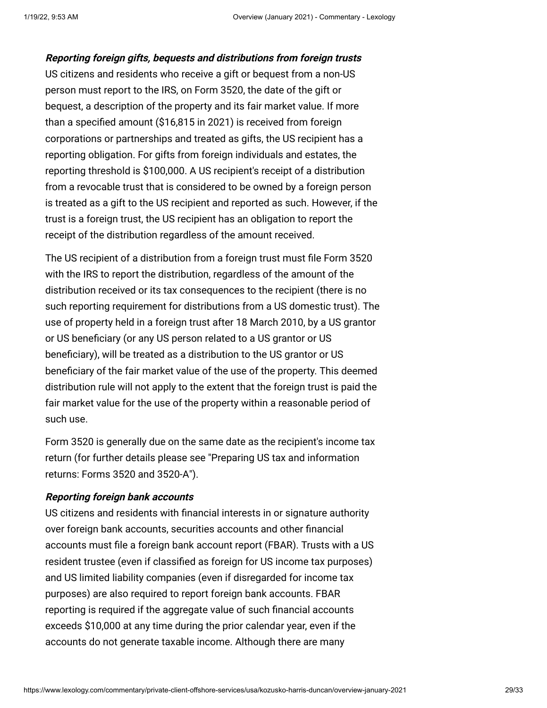**Reporting foreign gifts, bequests and distributions from foreign trusts** US citizens and residents who receive a gift or bequest from a non-US person must report to the IRS, on Form 3520, the date of the gift or bequest, a description of the property and its fair market value. If more than a specified amount (\$16,815 in 2021) is received from foreign corporations or partnerships and treated as gifts, the US recipient has a reporting obligation. For gifts from foreign individuals and estates, the reporting threshold is \$100,000. A US recipient's receipt of a distribution from a revocable trust that is considered to be owned by a foreign person is treated as a gift to the US recipient and reported as such. However, if the trust is a foreign trust, the US recipient has an obligation to report the receipt of the distribution regardless of the amount received.

The US recipient of a distribution from a foreign trust must file Form 3520 with the IRS to report the distribution, regardless of the amount of the distribution received or its tax consequences to the recipient (there is no such reporting requirement for distributions from a US domestic trust). The use of property held in a foreign trust after 18 March 2010, by a US grantor or US beneficiary (or any US person related to a US grantor or US beneficiary), will be treated as a distribution to the US grantor or US beneficiary of the fair market value of the use of the property. This deemed distribution rule will not apply to the extent that the foreign trust is paid the fair market value for the use of the property within a reasonable period of such use.

Form 3520 is generally due on the same date as the recipient's income tax [return \(for further details please see "Preparing US tax and information](https://www.internationallawoffice.com/Newsletters/Private-Client-Offshore-Services/USA/Kozusko-Harris-Duncan/Preparing-US-tax-and-information-returns-Forms-3520-and-3520-A) returns: Forms 3520 and 3520-A").

# **Reporting foreign bank accounts**

US citizens and residents with financial interests in or signature authority over foreign bank accounts, securities accounts and other financial accounts must file a foreign bank account report (FBAR). Trusts with a US resident trustee (even if classified as foreign for US income tax purposes) and US limited liability companies (even if disregarded for income tax purposes) are also required to report foreign bank accounts. FBAR reporting is required if the aggregate value of such financial accounts exceeds \$10,000 at any time during the prior calendar year, even if the accounts do not generate taxable income. Although there are many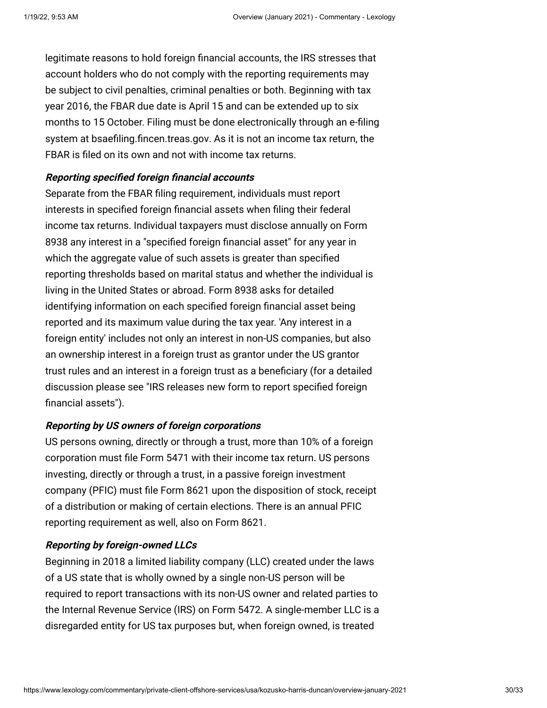legitimate reasons to hold foreign financial accounts, the IRS stresses that account holders who do not comply with the reporting requirements may be subject to civil penalties, criminal penalties or both. Beginning with tax year 2016, the FBAR due date is April 15 and can be extended up to six months to 15 October. Filing must be done electronically through an e-filing system at [bsaefiling.fincen.treas.gov.](http://bsaefiling.fincen.treas.gov/) As it is not an income tax return, the FBAR is filed on its own and not with income tax returns.

### **Reporting specified foreign financial accounts**

Separate from the FBAR filing requirement, individuals must report interests in specified foreign financial assets when filing their federal income tax returns. Individual taxpayers must disclose annually on Form 8938 any interest in a "specified foreign financial asset" for any year in which the aggregate value of such assets is greater than specified reporting thresholds based on marital status and whether the individual is living in the United States or abroad. Form 8938 asks for detailed identifying information on each specified foreign financial asset being reported and its maximum value during the tax year. 'Any interest in a foreign entity' includes not only an interest in non-US companies, but also an ownership interest in a foreign trust as grantor under the US grantor trust rules and an interest in a foreign trust as a beneficiary (for a detailed [discussion please see "IRS releases new form to report specified foreign](http://www.internationallawoffice.com/newsletters/detail.aspx?r=24698) financial assets").

# **Reporting by US owners of foreign corporations**

US persons owning, directly or through a trust, more than 10% of a foreign corporation must file Form 5471 with their income tax return. US persons investing, directly or through a trust, in a passive foreign investment company (PFIC) must file Form 8621 upon the disposition of stock, receipt of a distribution or making of certain elections. There is an annual PFIC reporting requirement as well, also on Form 8621.

# **Reporting by foreign-owned LLCs**

Beginning in 2018 a limited liability company (LLC) created under the laws of a US state that is wholly owned by a single non-US person will be required to report transactions with its non-US owner and related parties to the Internal Revenue Service (IRS) on Form 5472. A single-member LLC is a disregarded entity for US tax purposes but, when foreign owned, is treated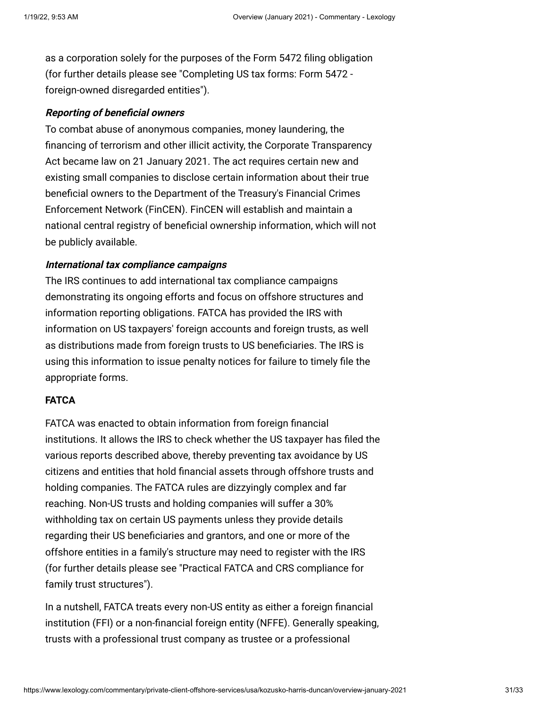as a corporation solely for the purposes of the Form 5472 filing obligation [\(for further details please see "Completing US tax forms: Form 5472](https://www.internationallawoffice.com/Newsletters/Private-Client-Offshore-Services/USA/Kozusko-Harris-Duncan/Completing-US-tax-forms-Form-5472-foreign-owned-disregarded-entities)  foreign-owned disregarded entities").

### **Reporting of beneficial owners**

To combat abuse of anonymous companies, money laundering, the financing of terrorism and other illicit activity, the Corporate Transparency Act became law on 21 January 2021. The act requires certain new and existing small companies to disclose certain information about their true beneficial owners to the Department of the Treasury's Financial Crimes Enforcement Network (FinCEN). FinCEN will establish and maintain a national central registry of beneficial ownership information, which will not be publicly available.

#### **International tax compliance campaigns**

The IRS continues to add international tax compliance campaigns demonstrating its ongoing efforts and focus on offshore structures and information reporting obligations. FATCA has provided the IRS with information on US taxpayers' foreign accounts and foreign trusts, as well as distributions made from foreign trusts to US beneficiaries. The IRS is using this information to issue penalty notices for failure to timely file the appropriate forms.

# <span id="page-30-0"></span>**FATCA**

FATCA was enacted to obtain information from foreign financial institutions. It allows the IRS to check whether the US taxpayer has filed the various reports described above, thereby preventing tax avoidance by US citizens and entities that hold financial assets through offshore trusts and holding companies. The FATCA rules are dizzyingly complex and far reaching. Non-US trusts and holding companies will suffer a 30% withholding tax on certain US payments unless they provide details regarding their US beneficiaries and grantors, and one or more of the offshore entities in a family's structure may need to register with the IRS [\(for further details please see "Practical FATCA and CRS compliance for](http://www.internationallawoffice.com/newsletters/Detail.aspx?g=5cd7e0f8-e0ce-4f3e-b83f-248ec2013e22) family trust structures").

In a nutshell, FATCA treats every non-US entity as either a foreign financial institution (FFI) or a non-financial foreign entity (NFFE). Generally speaking, trusts with a professional trust company as trustee or a professional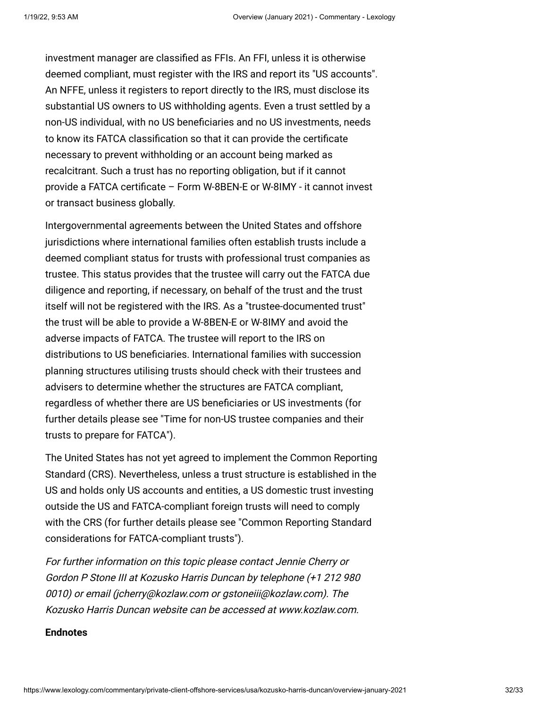investment manager are classified as FFIs. An FFI, unless it is otherwise deemed compliant, must register with the IRS and report its "US accounts". An NFFE, unless it registers to report directly to the IRS, must disclose its substantial US owners to US withholding agents. Even a trust settled by a non-US individual, with no US beneficiaries and no US investments, needs to know its FATCA classification so that it can provide the certificate necessary to prevent withholding or an account being marked as recalcitrant. Such a trust has no reporting obligation, but if it cannot provide a FATCA certificate – Form W-8BEN-E or W-8IMY - it cannot invest or transact business globally.

Intergovernmental agreements between the United States and offshore jurisdictions where international families often establish trusts include a deemed compliant status for trusts with professional trust companies as trustee. This status provides that the trustee will carry out the FATCA due diligence and reporting, if necessary, on behalf of the trust and the trust itself will not be registered with the IRS. As a "trustee-documented trust" the trust will be able to provide a W-8BEN-E or W-8IMY and avoid the adverse impacts of FATCA. The trustee will report to the IRS on distributions to US beneficiaries. International families with succession planning structures utilising trusts should check with their trustees and advisers to determine whether the structures are FATCA compliant, regardless of whether there are US beneficiaries or US investments (for [further details please see "Time for non-US trustee companies and their](http://www.internationallawoffice.com/newsletters/Detail.aspx?g=e197afb4-94b5-46eb-a5e9-16008a56c467) trusts to prepare for FATCA").

The United States has not yet agreed to implement the Common Reporting Standard (CRS). Nevertheless, unless a trust structure is established in the US and holds only US accounts and entities, a US domestic trust investing outside the US and FATCA-compliant foreign trusts will need to comply [with the CRS \(for further details please see "Common Reporting Standard](http://www.internationallawoffice.com/Newsletters/Offshore-Services/USA/Kozusko-Harris-Duncan/Common-Reporting-Standard-considerations-for-FATCA-compliant-trusts) considerations for FATCA-compliant trusts").

For further information on this topic please contact [Jennie Cherry](http://www.internationallawoffice.com/directory/biography.aspx?r=36050) or [Gordon P Stone III](http://www.internationallawoffice.com/Directory/Kozusko-Harris-Duncan/New-York-NY/Gordon-P-Stone-III) at Kozusko Harris Duncan by telephone (+1 212 980 0010) or email [\(jcherry@kozlaw.com](mailto:jcherry@kozlaw.com?subject=Article%20on%20ILO) or [gstoneiii@kozlaw.com\)](mailto:gstoneiii@kozlaw.com?subject=Article%20on%20ILO). The Kozusko Harris Duncan website can be accessed at [www.kozlaw.com](http://www.kozlaw.com/).

#### **Endnotes**